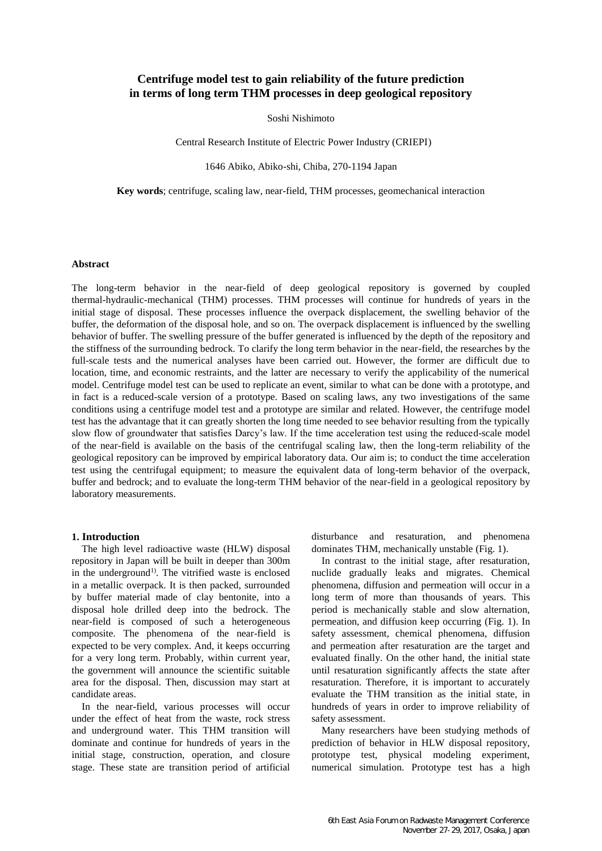# **Centrifuge model test to gain reliability of the future prediction in terms of long term THM processes in deep geological repository**

Soshi Nishimoto

Central Research Institute of Electric Power Industry (CRIEPI)

1646 Abiko, Abiko-shi, Chiba, 270-1194 Japan

**Key words**; centrifuge, scaling law, near-field, THM processes, geomechanical interaction

# **Abstract**

The long-term behavior in the near-field of deep geological repository is governed by coupled thermal-hydraulic-mechanical (THM) processes. THM processes will continue for hundreds of years in the initial stage of disposal. These processes influence the overpack displacement, the swelling behavior of the buffer, the deformation of the disposal hole, and so on. The overpack displacement is influenced by the swelling behavior of buffer. The swelling pressure of the buffer generated is influenced by the depth of the repository and the stiffness of the surrounding bedrock. To clarify the long term behavior in the near-field, the researches by the full-scale tests and the numerical analyses have been carried out. However, the former are difficult due to location, time, and economic restraints, and the latter are necessary to verify the applicability of the numerical model. Centrifuge model test can be used to replicate an event, similar to what can be done with a prototype, and in fact is a reduced-scale version of a prototype. Based on scaling laws, any two investigations of the same conditions using a centrifuge model test and a prototype are similar and related. However, the centrifuge model test has the advantage that it can greatly shorten the long time needed to see behavior resulting from the typically slow flow of groundwater that satisfies Darcy's law. If the time acceleration test using the reduced-scale model of the near-field is available on the basis of the centrifugal scaling law, then the long-term reliability of the geological repository can be improved by empirical laboratory data. Our aim is; to conduct the time acceleration test using the centrifugal equipment; to measure the equivalent data of long-term behavior of the overpack, buffer and bedrock; and to evaluate the long-term THM behavior of the near-field in a geological repository by laboratory measurements.

# **1. Introduction**

The high level radioactive waste (HLW) disposal repository in Japan will be built in deeper than 300m in the underground<sup>1)</sup>. The vitrified waste is enclosed in a metallic overpack. It is then packed, surrounded by buffer material made of clay bentonite, into a disposal hole drilled deep into the bedrock. The near-field is composed of such a heterogeneous composite. The phenomena of the near-field is expected to be very complex. And, it keeps occurring for a very long term. Probably, within current year, the government will announce the scientific suitable area for the disposal. Then, discussion may start at candidate areas.

In the near-field, various processes will occur under the effect of heat from the waste, rock stress and underground water. This THM transition will dominate and continue for hundreds of years in the initial stage, construction, operation, and closure stage. These state are transition period of artificial disturbance and resaturation, and phenomena dominates THM, mechanically unstable (Fig. 1).

In contrast to the initial stage, after resaturation, nuclide gradually leaks and migrates. Chemical phenomena, diffusion and permeation will occur in a long term of more than thousands of years. This period is mechanically stable and slow alternation, permeation, and diffusion keep occurring (Fig. 1). In safety assessment, chemical phenomena, diffusion and permeation after resaturation are the target and evaluated finally. On the other hand, the initial state until resaturation significantly affects the state after resaturation. Therefore, it is important to accurately evaluate the THM transition as the initial state, in hundreds of years in order to improve reliability of safety assessment.

Many researchers have been studying methods of prediction of behavior in HLW disposal repository, prototype test, physical modeling experiment, numerical simulation. Prototype test has a high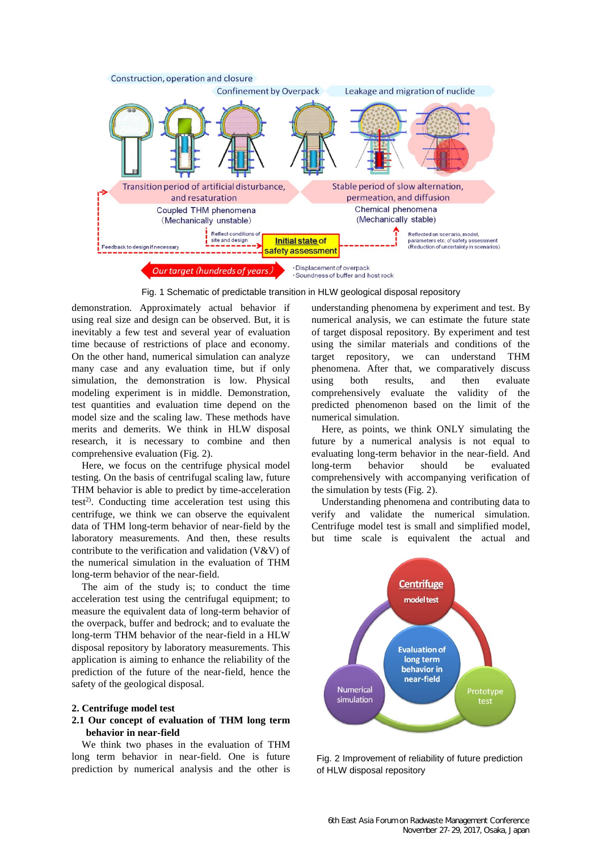

Fig. 1 Schematic of predictable transition in HLW geological disposal repository

demonstration. Approximately actual behavior if using real size and design can be observed. But, it is inevitably a few test and several year of evaluation time because of restrictions of place and economy. On the other hand, numerical simulation can analyze many case and any evaluation time, but if only simulation, the demonstration is low. Physical modeling experiment is in middle. Demonstration, test quantities and evaluation time depend on the model size and the scaling law. These methods have merits and demerits. We think in HLW disposal research, it is necessary to combine and then comprehensive evaluation (Fig. 2).

Here, we focus on the centrifuge physical model testing. On the basis of centrifugal scaling law, future THM behavior is able to predict by time-acceleration test<sup>2)</sup>. Conducting time acceleration test using this centrifuge, we think we can observe the equivalent data of THM long-term behavior of near-field by the laboratory measurements. And then, these results contribute to the verification and validation (V&V) of the numerical simulation in the evaluation of THM long-term behavior of the near-field.

The aim of the study is; to conduct the time acceleration test using the centrifugal equipment; to measure the equivalent data of long-term behavior of the overpack, buffer and bedrock; and to evaluate the long-term THM behavior of the near-field in a HLW disposal repository by laboratory measurements. This application is aiming to enhance the reliability of the prediction of the future of the near-field, hence the safety of the geological disposal.

#### **2. Centrifuge model test**

# **2.1 Our concept of evaluation of THM long term behavior in near-field**

We think two phases in the evaluation of THM long term behavior in near-field. One is future prediction by numerical analysis and the other is understanding phenomena by experiment and test. By numerical analysis, we can estimate the future state of target disposal repository. By experiment and test using the similar materials and conditions of the target repository, we can understand THM phenomena. After that, we comparatively discuss using both results, and then evaluate comprehensively evaluate the validity of the predicted phenomenon based on the limit of the numerical simulation.

Here, as points, we think ONLY simulating the future by a numerical analysis is not equal to evaluating long-term behavior in the near-field. And long-term behavior should be evaluated comprehensively with accompanying verification of the simulation by tests (Fig. 2).

Understanding phenomena and contributing data to verify and validate the numerical simulation. Centrifuge model test is small and simplified model, but time scale is equivalent the actual and



Fig. 2 Improvement of reliability of future prediction of HLW disposal repository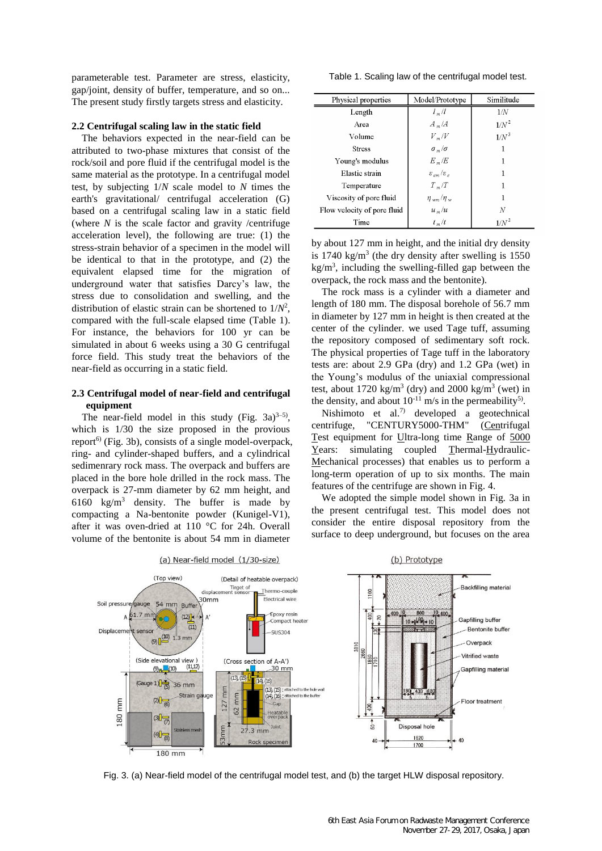parameterable test. Parameter are stress, elasticity, gap/joint, density of buffer, temperature, and so on... The present study firstly targets stress and elasticity.

#### **2.2 Centrifugal scaling law in the static field**

The behaviors expected in the near-field can be attributed to two-phase mixtures that consist of the rock/soil and pore fluid if the centrifugal model is the same material as the prototype. In a centrifugal model test, by subjecting 1/*N* scale model to *N* times the earth's gravitational/ centrifugal acceleration (G) based on a centrifugal scaling law in a static field (where *N* is the scale factor and gravity /centrifuge acceleration level), the following are true: (1) the stress-strain behavior of a specimen in the model will be identical to that in the prototype, and (2) the equivalent elapsed time for the migration of underground water that satisfies Darcy's law, the stress due to consolidation and swelling, and the distribution of elastic strain can be shortened to  $1/N^2$ , compared with the full-scale elapsed time (Table 1). For instance, the behaviors for 100 yr can be simulated in about 6 weeks using a 30 G centrifugal force field. This study treat the behaviors of the near-field as occurring in a static field.

#### **2.3 Centrifugal model of near-field and centrifugal equipment**

The near-field model in this study (Fig.  $3a)^{3-5}$ ), which is 1/30 the size proposed in the provious report<sup>6)</sup> (Fig. 3b), consists of a single model-overpack, ring- and cylinder-shaped buffers, and a cylindrical sedimenrary rock mass. The overpack and buffers are placed in the bore hole drilled in the rock mass. The overpack is 27-mm diameter by 62 mm height, and 6160 kg/m<sup>3</sup> density. The buffer is made by compacting a Na-bentonite powder (Kunigel-V1), after it was oven-dried at 110 °C for 24h. Overall volume of the bentonite is about 54 mm in diameter

Table 1. Scaling law of the centrifugal model test.

| Physical properties         | Model/Prototype                                                          | Similitude |  |  |
|-----------------------------|--------------------------------------------------------------------------|------------|--|--|
| Length                      | $l_m/l$                                                                  | 1/N        |  |  |
| Area                        | $A_m/A$                                                                  | $1/N^2$    |  |  |
| Volume                      | $V_{m}/V$                                                                | $1/N^3$    |  |  |
| <b>Stress</b>               | $\sigma_m/\sigma$                                                        |            |  |  |
| Young's modulus             | $E_m/E$                                                                  |            |  |  |
| Elastic strain              | $\varepsilon_{\scriptscriptstyle em}/\varepsilon_{\scriptscriptstyle o}$ |            |  |  |
| Temperature                 | $T_m/T$                                                                  | 1          |  |  |
| Viscosity of pore fluid     | $\eta_{wm}/\eta_{w}$                                                     | 1          |  |  |
| Flow velocity of pore fluid | $u_{m}/u$                                                                | N          |  |  |
| Time                        | $t_m/t$                                                                  | $1/N^2$    |  |  |

by about 127 mm in height, and the initial dry density is  $1740 \text{ kg/m}^3$  (the dry density after swelling is  $1550$  $kg/m<sup>3</sup>$ , including the swelling-filled gap between the overpack, the rock mass and the bentonite).

The rock mass is a cylinder with a diameter and length of 180 mm. The disposal borehole of 56.7 mm in diameter by 127 mm in height is then created at the center of the cylinder. we used Tage tuff, assuming the repository composed of sedimentary soft rock. The physical properties of Tage tuff in the laboratory tests are: about 2.9 GPa (dry) and 1.2 GPa (wet) in the Young's modulus of the uniaxial compressional test, about 1720 kg/m<sup>3</sup> (dry) and 2000 kg/m<sup>3</sup> (wet) in the density, and about  $10^{-11}$  m/s in the permeability<sup>5)</sup>.

Nishimoto et al.7) developed a geotechnical centrifuge, "CENTURY5000-THM" (Centrifugal Test equipment for Ultra-long time Range of 5000 Years: simulating coupled Thermal-Hydraulic-Mechanical processes) that enables us to perform a long-term operation of up to six months. The main features of the centrifuge are shown in Fig. 4.

We adopted the simple model shown in Fig. 3a in the present centrifugal test. This model does not consider the entire disposal repository from the surface to deep underground, but focuses on the area



Fig. 3. (a) Near-field model of the centrifugal model test, and (b) the target HLW disposal repository.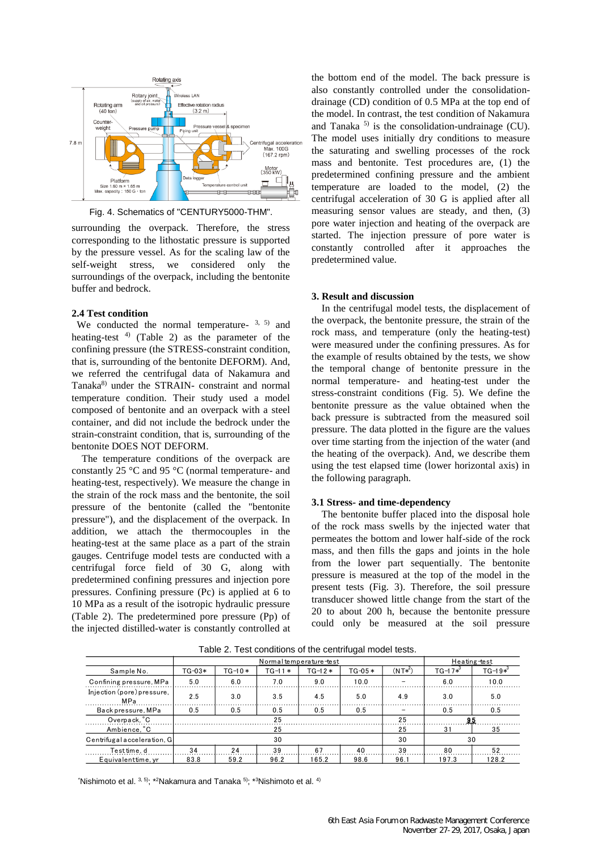

Fig. 4. Schematics of "CENTURY5000-THM".

surrounding the overpack. Therefore, the stress corresponding to the lithostatic pressure is supported by the pressure vessel. As for the scaling law of the self-weight stress, we considered only the surroundings of the overpack, including the bentonite buffer and bedrock.

# **2.4 Test condition**

We conducted the normal temperature-  $3, 5$  and heating-test  $4$ ) (Table 2) as the parameter of the confining pressure (the STRESS-constraint condition, that is, surrounding of the bentonite DEFORM). And, we referred the centrifugal data of Nakamura and Tanaka<sup>8)</sup> under the STRAIN- constraint and normal temperature condition. Their study used a model composed of bentonite and an overpack with a steel container, and did not include the bedrock under the strain-constraint condition, that is, surrounding of the bentonite DOES NOT DEFORM.

The temperature conditions of the overpack are constantly 25 °C and 95 °C (normal temperature- and heating-test, respectively). We measure the change in the strain of the rock mass and the bentonite, the soil pressure of the bentonite (called the "bentonite pressure"), and the displacement of the overpack. In addition, we attach the thermocouples in the heating-test at the same place as a part of the strain gauges. Centrifuge model tests are conducted with a centrifugal force field of 30 G, along with predetermined confining pressures and injection pore pressures. Confining pressure (Pc) is applied at 6 to 10 MPa as a result of the isotropic hydraulic pressure (Table 2). The predetermined pore pressure (Pp) of the injected distilled-water is constantly controlled at the bottom end of the model. The back pressure is also constantly controlled under the consolidationdrainage (CD) condition of 0.5 MPa at the top end of the model. In contrast, the test condition of Nakamura and Tanaka<sup> $5$ </sup> is the consolidation-undrainage (CU). The model uses initially dry conditions to measure the saturating and swelling processes of the rock mass and bentonite. Test procedures are, (1) the predetermined confining pressure and the ambient temperature are loaded to the model, (2) the centrifugal acceleration of 30 G is applied after all measuring sensor values are steady, and then, (3) pore water injection and heating of the overpack are started. The injection pressure of pore water is constantly controlled after it approaches the predetermined value.

#### **3. Result and discussion**

In the centrifugal model tests, the displacement of the overpack, the bentonite pressure, the strain of the rock mass, and temperature (only the heating-test) were measured under the confining pressures. As for the example of results obtained by the tests, we show the temporal change of bentonite pressure in the normal temperature- and heating-test under the stress-constraint conditions (Fig. 5). We define the bentonite pressure as the value obtained when the back pressure is subtracted from the measured soil pressure. The data plotted in the figure are the values over time starting from the injection of the water (and the heating of the overpack). And, we describe them using the test elapsed time (lower horizontal axis) in the following paragraph.

# **3.1 Stress- and time-dependency**

The bentonite buffer placed into the disposal hole of the rock mass swells by the injected water that permeates the bottom and lower half-side of the rock mass, and then fills the gaps and joints in the hole from the lower part sequentially. The bentonite pressure is measured at the top of the model in the present tests (Fig. 3). Therefore, the soil pressure transducer showed little change from the start of the 20 to about 200 h, because the bentonite pressure could only be measured at the soil pressure

|                                          | Normal temperature-test |            |          |          |          |           | Heating-test |              |
|------------------------------------------|-------------------------|------------|----------|----------|----------|-----------|--------------|--------------|
| Sample No.                               | $TG-03*$                | $TG - 10*$ | $TG-11*$ | $TG-12*$ | $TG-05*$ | $(NT*^2)$ | $TG-17*^3$   | $TG - 19*^3$ |
| Confining pressure, MPa                  | 5.0                     | 6.0        | 7.0      | 9.0      | 10.0     |           | 6.0          | 10.0         |
| Injection (pore) pressure,<br><b>MPa</b> | 2.5                     | 3.0        | 3.5      | 4.5      | 5.0      | 4.9       | 3.0          | 5.0          |
| Back pressure, MPa                       | 0.5                     | 0.5        | 0.5      | 0.5      | 0.5      |           | 0.5          | 0.5          |
| Overpack, °C                             | 25                      |            |          |          |          | 25        | 95           |              |
| Ambience. C                              |                         |            | 25       | 25       | 31       | 35        |              |              |
| Centrifugal acceleration, G              | 30                      |            |          |          |          | 30        | 30           |              |
| Test time, d                             | 34                      | 24         | 39       | 67       | 40       | 39        | 80           | 52           |
| Equivalentume, vr                        | 83.8                    | 59.2       | 96.2     | 165.2    | 98.6     | 96.1      | 197.3        | 128.2        |

Table 2. Test conditions of the centrifugal model tests.

\*Nishimoto et al. 3, 5) ; \*<sup>2</sup>Nakamura and Tanaka 5); \*<sup>3</sup>Nishimoto et al. 4)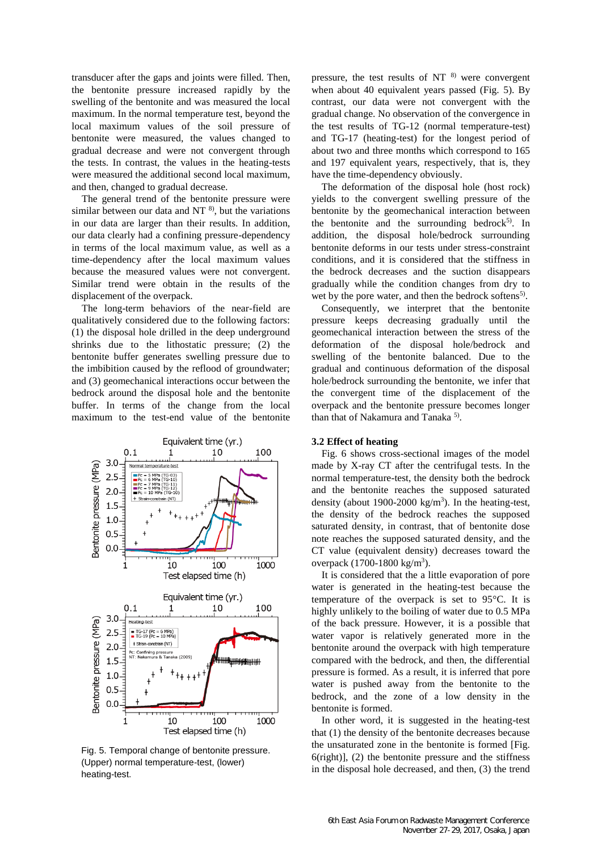transducer after the gaps and joints were filled. Then, the bentonite pressure increased rapidly by the swelling of the bentonite and was measured the local maximum. In the normal temperature test, beyond the local maximum values of the soil pressure of bentonite were measured, the values changed to gradual decrease and were not convergent through the tests. In contrast, the values in the heating-tests were measured the additional second local maximum, and then, changed to gradual decrease.

The general trend of the bentonite pressure were similar between our data and NT $<sup>8</sup>$ , but the variations</sup> in our data are larger than their results. In addition, our data clearly had a confining pressure-dependency in terms of the local maximum value, as well as a time-dependency after the local maximum values because the measured values were not convergent. Similar trend were obtain in the results of the displacement of the overpack.

The long-term behaviors of the near-field are qualitatively considered due to the following factors: (1) the disposal hole drilled in the deep underground shrinks due to the lithostatic pressure; (2) the bentonite buffer generates swelling pressure due to the imbibition caused by the reflood of groundwater; and (3) geomechanical interactions occur between the bedrock around the disposal hole and the bentonite buffer. In terms of the change from the local maximum to the test-end value of the bentonite



Fig. 5. Temporal change of bentonite pressure. (Upper) normal temperature-test, (lower) heating-test.

pressure, the test results of NT $^{8)}$  were convergent when about 40 equivalent years passed (Fig. 5). By contrast, our data were not convergent with the gradual change. No observation of the convergence in the test results of TG-12 (normal temperature-test) and TG-17 (heating-test) for the longest period of about two and three months which correspond to 165 and 197 equivalent years, respectively, that is, they have the time-dependency obviously.

The deformation of the disposal hole (host rock) yields to the convergent swelling pressure of the bentonite by the geomechanical interaction between the bentonite and the surrounding bedrock<sup>5)</sup>. In addition, the disposal hole/bedrock surrounding bentonite deforms in our tests under stress-constraint conditions, and it is considered that the stiffness in the bedrock decreases and the suction disappears gradually while the condition changes from dry to wet by the pore water, and then the bedrock softens<sup>5)</sup>.

Consequently, we interpret that the bentonite pressure keeps decreasing gradually until the geomechanical interaction between the stress of the deformation of the disposal hole/bedrock and swelling of the bentonite balanced. Due to the gradual and continuous deformation of the disposal hole/bedrock surrounding the bentonite, we infer that the convergent time of the displacement of the overpack and the bentonite pressure becomes longer than that of Nakamura and Tanaka<sup>5</sup>).

#### **3.2 Effect of heating**

Fig. 6 shows cross-sectional images of the model made by X-ray CT after the centrifugal tests. In the normal temperature-test, the density both the bedrock and the bentonite reaches the supposed saturated density (about 1900-2000 kg/m<sup>3</sup>). In the heating-test, the density of the bedrock reaches the supposed saturated density, in contrast, that of bentonite dose note reaches the supposed saturated density, and the CT value (equivalent density) decreases toward the overpack (1700-1800 kg/m<sup>3</sup>).

It is considered that the a little evaporation of pore water is generated in the heating-test because the temperature of the overpack is set to 95°C. It is highly unlikely to the boiling of water due to 0.5 MPa of the back pressure. However, it is a possible that water vapor is relatively generated more in the bentonite around the overpack with high temperature compared with the bedrock, and then, the differential pressure is formed. As a result, it is inferred that pore water is pushed away from the bentonite to the bedrock, and the zone of a low density in the bentonite is formed.

In other word, it is suggested in the heating-test that (1) the density of the bentonite decreases because the unsaturated zone in the bentonite is formed [Fig.  $6$ (right)], (2) the bentonite pressure and the stiffness in the disposal hole decreased, and then, (3) the trend